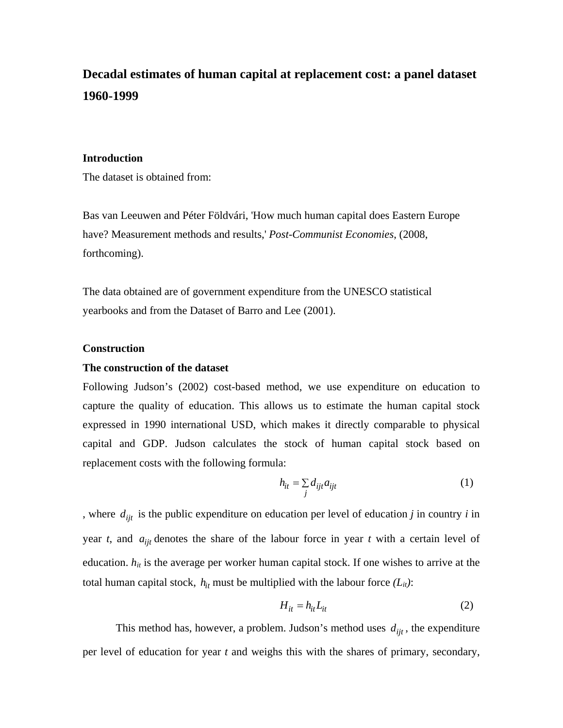# **Decadal estimates of human capital at replacement cost: a panel dataset 1960-1999**

## **Introduction**

The dataset is obtained from:

Bas van Leeuwen and Péter Földvári, 'How much human capital does Eastern Europe have? Measurement methods and results,' *Post-Communist Economies*, (2008, forthcoming).

The data obtained are of government expenditure from the UNESCO statistical yearbooks and from the Dataset of Barro and Lee (2001).

## **Construction**

### **The construction of the dataset**

Following Judson's (2002) cost-based method, we use expenditure on education to capture the quality of education. This allows us to estimate the human capital stock expressed in 1990 international USD, which makes it directly comparable to physical capital and GDP. Judson calculates the stock of human capital stock based on replacement costs with the following formula:

$$
h_{it} = \sum_{j} d_{ijt} a_{ijt} \tag{1}
$$

, where  $d_{ijt}$  is the public expenditure on education per level of education *j* in country *i* in year *t*, and  $a_{ijt}$  denotes the share of the labour force in year *t* with a certain level of education.  $h_{it}$  is the average per worker human capital stock. If one wishes to arrive at the total human capital stock,  $h_{it}$  must be multiplied with the labour force  $(L_{it})$ :

$$
H_{it} = h_{it} L_{it} \tag{2}
$$

This method has, however, a problem. Judson's method uses  $d_{\text{fit}}$ , the expenditure per level of education for year *t* and weighs this with the shares of primary, secondary,